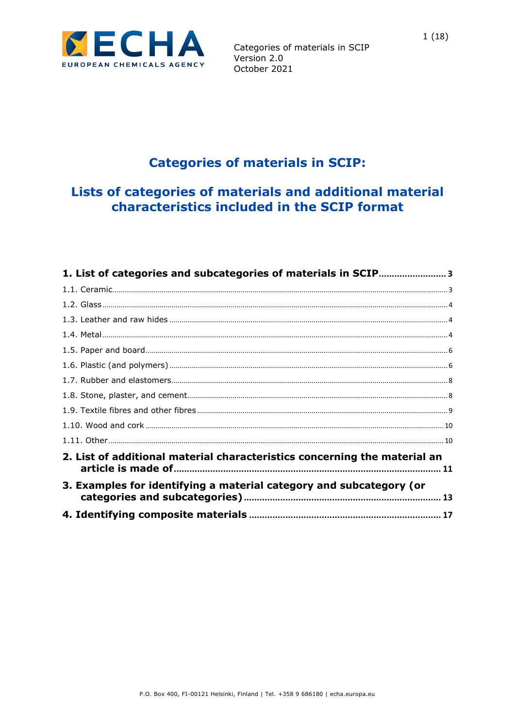

# **Categories of materials in SCIP:**

# Lists of categories of materials and additional material characteristics included in the SCIP format

| 1. List of categories and subcategories of materials in SCIP3             |  |
|---------------------------------------------------------------------------|--|
|                                                                           |  |
|                                                                           |  |
|                                                                           |  |
|                                                                           |  |
|                                                                           |  |
|                                                                           |  |
|                                                                           |  |
|                                                                           |  |
|                                                                           |  |
|                                                                           |  |
|                                                                           |  |
| 2. List of additional material characteristics concerning the material an |  |
| 3. Examples for identifying a material category and subcategory (or       |  |
|                                                                           |  |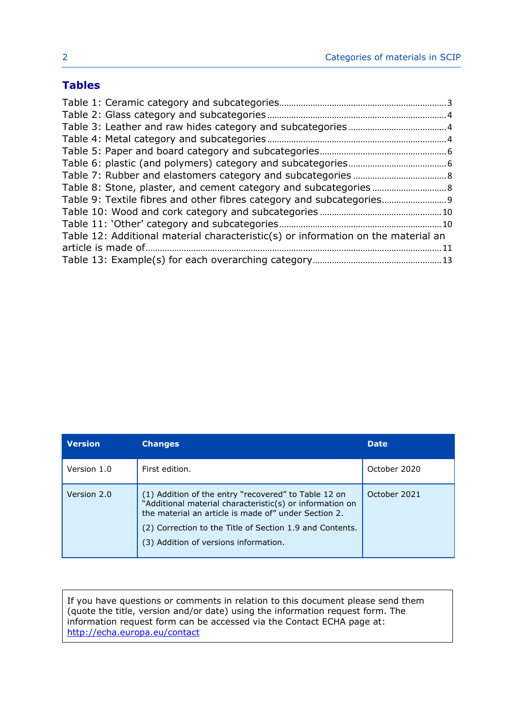## **Tables**

| Table 9: Textile fibres and other fibres category and subcategories               |  |
|-----------------------------------------------------------------------------------|--|
|                                                                                   |  |
|                                                                                   |  |
| Table 12: Additional material characteristic(s) or information on the material an |  |
|                                                                                   |  |
|                                                                                   |  |

| <b>Version</b> | <b>Changes</b>                                                                                                                                                                                                                                                                | <b>Date</b>  |
|----------------|-------------------------------------------------------------------------------------------------------------------------------------------------------------------------------------------------------------------------------------------------------------------------------|--------------|
| Version 1.0    | First edition.                                                                                                                                                                                                                                                                | October 2020 |
| Version 2.0    | (1) Addition of the entry "recovered" to Table 12 on<br>"Additional material characteristic(s) or information on<br>the material an article is made of" under Section 2.<br>(2) Correction to the Title of Section 1.9 and Contents.<br>(3) Addition of versions information. | October 2021 |

If you have questions or comments in relation to this document please send them (quote the title, version and/or date) using the information request form. The information request form can be accessed via the Contact ECHA page at: <http://echa.europa.eu/contact>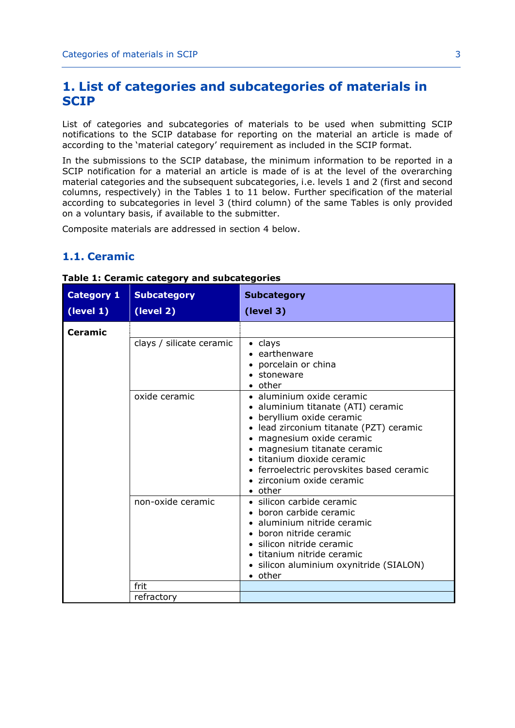## <span id="page-2-0"></span>**1. List of categories and subcategories of materials in SCIP**

List of categories and subcategories of materials to be used when submitting SCIP notifications to the SCIP database for reporting on the material an article is made of according to the 'material category' requirement as included in the SCIP format.

In the submissions to the SCIP database, the minimum information to be reported in a SCIP notification for a material an article is made of is at the level of the overarching material categories and the subsequent subcategories, i.e. levels 1 and 2 (first and second columns, respectively) in the Tables 1 to 11 below. Further specification of the material according to subcategories in level 3 (third column) of the same Tables is only provided on a voluntary basis, if available to the submitter.

Composite materials are addressed in section 4 below.

#### <span id="page-2-1"></span>**1.1. Ceramic**

| <b>Category 1</b> | <b>Subcategory</b>       | <b>Subcategory</b>                                                                                                                                                                                                                                                                                                                    |
|-------------------|--------------------------|---------------------------------------------------------------------------------------------------------------------------------------------------------------------------------------------------------------------------------------------------------------------------------------------------------------------------------------|
| (level 1)         | (level 2)                | (level 3)                                                                                                                                                                                                                                                                                                                             |
| <b>Ceramic</b>    |                          |                                                                                                                                                                                                                                                                                                                                       |
|                   | clays / silicate ceramic | $\bullet$ clays<br>$\bullet$ earthenware<br>• porcelain or china<br>• stoneware<br>$\bullet$ other                                                                                                                                                                                                                                    |
|                   | oxide ceramic            | $\bullet$ aluminium oxide ceramic<br>· aluminium titanate (ATI) ceramic<br>beryllium oxide ceramic<br>• lead zirconium titanate (PZT) ceramic<br>· magnesium oxide ceramic<br>• magnesium titanate ceramic<br>• titanium dioxide ceramic<br>• ferroelectric perovskites based ceramic<br>• zirconium oxide ceramic<br>$\bullet$ other |
|                   | non-oxide ceramic        | · silicon carbide ceramic<br>• boron carbide ceramic<br>· aluminium nitride ceramic<br>• boron nitride ceramic<br>• silicon nitride ceramic<br>• titanium nitride ceramic<br>· silicon aluminium oxynitride (SIALON)<br>$\bullet$ other                                                                                               |
|                   | frit                     |                                                                                                                                                                                                                                                                                                                                       |
|                   | refractory               |                                                                                                                                                                                                                                                                                                                                       |

<span id="page-2-2"></span>**Table 1: Ceramic category and subcategories**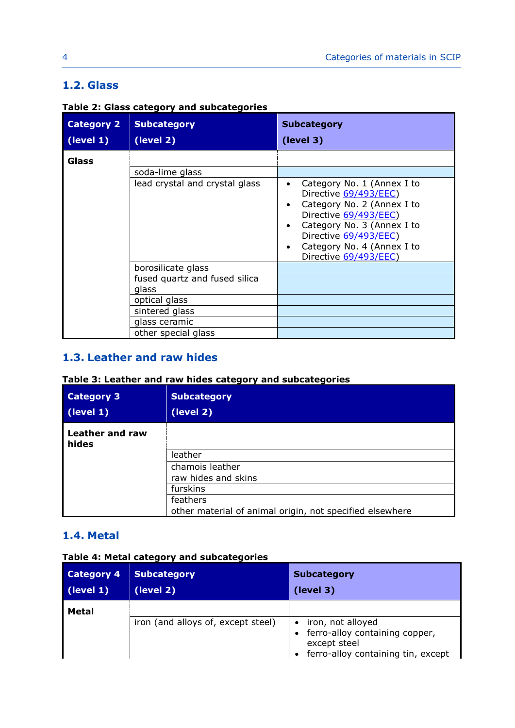# <span id="page-3-0"></span>**1.2. Glass**

<span id="page-3-3"></span>

|  |  | Table 2: Glass category and subcategories |
|--|--|-------------------------------------------|
|  |  |                                           |

| <b>Category 2</b><br>(level 1) | <b>Subcategory</b><br>(level 2)        | <b>Subcategory</b><br>(level 3)                                                                                                                                                                                                                    |
|--------------------------------|----------------------------------------|----------------------------------------------------------------------------------------------------------------------------------------------------------------------------------------------------------------------------------------------------|
| <b>Glass</b>                   |                                        |                                                                                                                                                                                                                                                    |
|                                | soda-lime glass                        |                                                                                                                                                                                                                                                    |
|                                | lead crystal and crystal glass         | Category No. 1 (Annex I to<br>Directive 69/493/EEC)<br>Category No. 2 (Annex I to<br>$\bullet$<br>Directive 69/493/EEC)<br>Category No. 3 (Annex I to<br>Directive 69/493/EEC)<br>Category No. 4 (Annex I to<br>$\bullet$<br>Directive 69/493/EEC) |
|                                | borosilicate glass                     |                                                                                                                                                                                                                                                    |
|                                | fused quartz and fused silica<br>glass |                                                                                                                                                                                                                                                    |
|                                | optical glass                          |                                                                                                                                                                                                                                                    |
|                                | sintered glass                         |                                                                                                                                                                                                                                                    |
|                                | glass ceramic                          |                                                                                                                                                                                                                                                    |
|                                | other special glass                    |                                                                                                                                                                                                                                                    |

## <span id="page-3-1"></span>**1.3. Leather and raw hides**

#### <span id="page-3-4"></span>**Table 3: Leather and raw hides category and subcategories**

| <b>Category 3</b><br>(level 1) | <b>Subcategory</b><br>(level 2)                          |
|--------------------------------|----------------------------------------------------------|
| Leather and raw<br>hides       |                                                          |
|                                | leather                                                  |
|                                | chamois leather                                          |
|                                | raw hides and skins                                      |
|                                | furskins                                                 |
|                                | feathers                                                 |
|                                | other material of animal origin, not specified elsewhere |

## <span id="page-3-2"></span>**1.4. Metal**

#### <span id="page-3-5"></span>**Table 4: Metal category and subcategories**

| <b>Category 4</b> | <b>Subcategory</b>                 | <b>Subcategory</b>                                                                                            |
|-------------------|------------------------------------|---------------------------------------------------------------------------------------------------------------|
| $\vert$ (level 1) | (level 2)                          | (level 3)                                                                                                     |
| <b>Metal</b>      | iron (and alloys of, except steel) | • iron, not alloyed<br>ferro-alloy containing copper,<br>except steel<br>• ferro-alloy containing tin, except |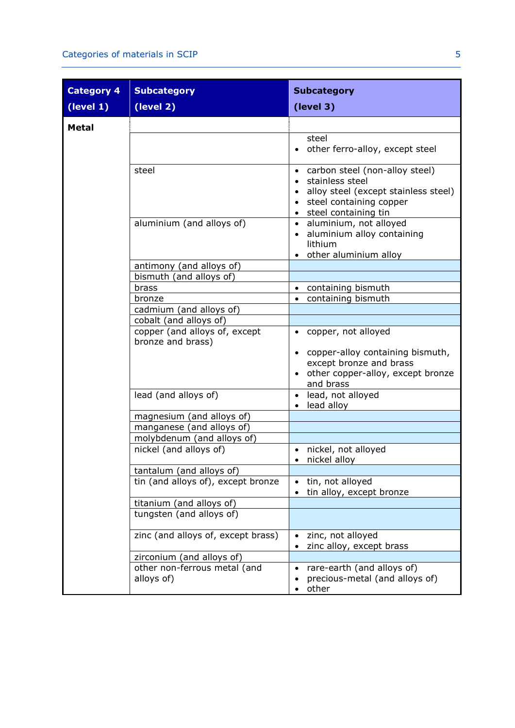| <b>Category 4</b> | <b>Subcategory</b>                         | <b>Subcategory</b>                                                                                                                                                                      |
|-------------------|--------------------------------------------|-----------------------------------------------------------------------------------------------------------------------------------------------------------------------------------------|
| (level 1)         | (level 2)                                  | (level 3)                                                                                                                                                                               |
| Metal             |                                            |                                                                                                                                                                                         |
|                   |                                            | steel                                                                                                                                                                                   |
|                   |                                            | other ferro-alloy, except steel                                                                                                                                                         |
|                   | steel                                      | • carbon steel (non-alloy steel)<br>stainless steel<br>$\bullet$<br>alloy steel (except stainless steel)<br>$\bullet$<br>steel containing copper<br>$\bullet$<br>• steel containing tin |
|                   | aluminium (and alloys of)                  | · aluminium, not alloyed<br>aluminium alloy containing<br>$\bullet$<br>lithium<br>• other aluminium alloy                                                                               |
|                   | antimony (and alloys of)                   |                                                                                                                                                                                         |
|                   | bismuth (and alloys of)                    |                                                                                                                                                                                         |
|                   | brass                                      | • containing bismuth                                                                                                                                                                    |
|                   | bronze                                     | containing bismuth<br>$\bullet$                                                                                                                                                         |
|                   | cadmium (and alloys of)                    |                                                                                                                                                                                         |
|                   | cobalt (and alloys of)                     |                                                                                                                                                                                         |
|                   | copper (and alloys of, except              | • copper, not alloyed                                                                                                                                                                   |
|                   | bronze and brass)                          | • copper-alloy containing bismuth,<br>except bronze and brass<br>other copper-alloy, except bronze<br>and brass                                                                         |
|                   | lead (and alloys of)                       | · lead, not alloyed<br>• lead alloy                                                                                                                                                     |
|                   | magnesium (and alloys of)                  |                                                                                                                                                                                         |
|                   | manganese (and alloys of)                  |                                                                                                                                                                                         |
|                   | molybdenum (and alloys of)                 |                                                                                                                                                                                         |
|                   | nickel (and alloys of)                     | nickel, not alloyed<br>nickel alloy                                                                                                                                                     |
|                   | tantalum (and alloys of)                   |                                                                                                                                                                                         |
|                   | tin (and alloys of), except bronze         | tin, not alloyed<br>tin alloy, except bronze<br>$\bullet$                                                                                                                               |
|                   | titanium (and alloys of)                   |                                                                                                                                                                                         |
|                   | tungsten (and alloys of)                   |                                                                                                                                                                                         |
|                   | zinc (and alloys of, except brass)         | zinc, not alloyed<br>zinc alloy, except brass                                                                                                                                           |
|                   | zirconium (and alloys of)                  |                                                                                                                                                                                         |
|                   | other non-ferrous metal (and<br>alloys of) | rare-earth (and alloys of)<br>precious-metal (and alloys of)<br>other                                                                                                                   |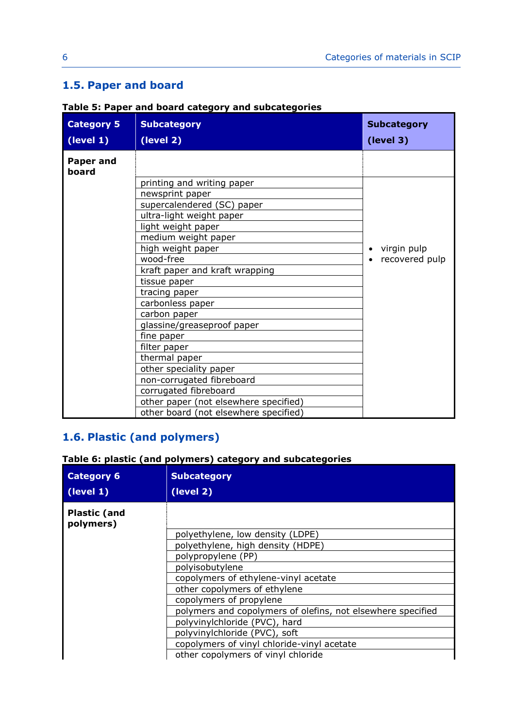## <span id="page-5-0"></span>**1.5. Paper and board**

<span id="page-5-2"></span>

|  |  |  | Table 5: Paper and board category and subcategories |  |
|--|--|--|-----------------------------------------------------|--|
|  |  |  |                                                     |  |

| <b>Category 5</b>         | <b>Subcategory</b>                                                             | <b>Subcategory</b>            |
|---------------------------|--------------------------------------------------------------------------------|-------------------------------|
| (level 1)                 | (level 2)                                                                      | (level 3)                     |
| <b>Paper and</b><br>board |                                                                                |                               |
|                           | printing and writing paper<br>newsprint paper                                  |                               |
|                           | supercalendered (SC) paper<br>ultra-light weight paper                         |                               |
|                           | light weight paper<br>medium weight paper                                      |                               |
|                           | high weight paper<br>wood-free                                                 | virgin pulp<br>recovered pulp |
|                           | kraft paper and kraft wrapping<br>tissue paper                                 |                               |
|                           | tracing paper                                                                  |                               |
|                           | carbonless paper<br>carbon paper                                               |                               |
|                           | glassine/greaseproof paper<br>fine paper                                       |                               |
|                           | filter paper<br>thermal paper                                                  |                               |
|                           | other speciality paper<br>non-corrugated fibreboard                            |                               |
|                           | corrugated fibreboard                                                          |                               |
|                           | other paper (not elsewhere specified)<br>other board (not elsewhere specified) |                               |

# <span id="page-5-1"></span>**1.6. Plastic (and polymers)**

<span id="page-5-3"></span>**Table 6: plastic (and polymers) category and subcategories**

| <b>Category 6</b><br>(level 1)   | <b>Subcategory</b><br>(level 2)                             |
|----------------------------------|-------------------------------------------------------------|
| <b>Plastic (and</b><br>polymers) |                                                             |
|                                  | polyethylene, low density (LDPE)                            |
|                                  | polyethylene, high density (HDPE)                           |
|                                  | polypropylene (PP)                                          |
|                                  | polyisobutylene                                             |
|                                  | copolymers of ethylene-vinyl acetate                        |
|                                  | other copolymers of ethylene                                |
|                                  | copolymers of propylene                                     |
|                                  | polymers and copolymers of olefins, not elsewhere specified |
|                                  | polyvinylchloride (PVC), hard                               |
|                                  | polyvinylchloride (PVC), soft                               |
|                                  | copolymers of vinyl chloride-vinyl acetate                  |
|                                  | other copolymers of vinyl chloride                          |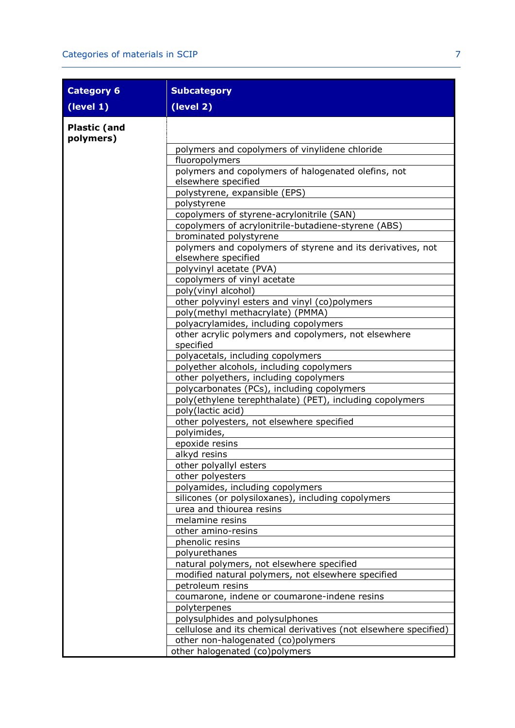| <b>Category 6</b>                | <b>Subcategory</b>                                                                 |
|----------------------------------|------------------------------------------------------------------------------------|
| (level 1)                        | (level 2)                                                                          |
| <b>Plastic (and</b><br>polymers) |                                                                                    |
|                                  | polymers and copolymers of vinylidene chloride                                     |
|                                  | fluoropolymers                                                                     |
|                                  | polymers and copolymers of halogenated olefins, not<br>elsewhere specified         |
|                                  | polystyrene, expansible (EPS)                                                      |
|                                  | polystyrene                                                                        |
|                                  | copolymers of styrene-acrylonitrile (SAN)                                          |
|                                  | copolymers of acrylonitrile-butadiene-styrene (ABS)                                |
|                                  | brominated polystyrene                                                             |
|                                  | polymers and copolymers of styrene and its derivatives, not<br>elsewhere specified |
|                                  | polyvinyl acetate (PVA)                                                            |
|                                  | copolymers of vinyl acetate                                                        |
|                                  | poly(vinyl alcohol)                                                                |
|                                  | other polyvinyl esters and vinyl (co)polymers                                      |
|                                  | poly(methyl methacrylate) (PMMA)                                                   |
|                                  | polyacrylamides, including copolymers                                              |
|                                  | other acrylic polymers and copolymers, not elsewhere<br>specified                  |
|                                  | polyacetals, including copolymers                                                  |
|                                  | polyether alcohols, including copolymers                                           |
|                                  | other polyethers, including copolymers                                             |
|                                  | polycarbonates (PCs), including copolymers                                         |
|                                  | poly(ethylene terephthalate) (PET), including copolymers                           |
|                                  | poly(lactic acid)                                                                  |
|                                  | other polyesters, not elsewhere specified                                          |
|                                  | polyimides,                                                                        |
|                                  | epoxide resins                                                                     |
|                                  | alkyd resins                                                                       |
|                                  | other polyallyl esters                                                             |
|                                  | other polyesters                                                                   |
|                                  | polyamides, including copolymers                                                   |
|                                  | silicones (or polysiloxanes), including copolymers                                 |
|                                  | urea and thiourea resins                                                           |
|                                  | melamine resins                                                                    |
|                                  | other amino-resins                                                                 |
|                                  | phenolic resins                                                                    |
|                                  | polyurethanes                                                                      |
|                                  | natural polymers, not elsewhere specified                                          |
|                                  | modified natural polymers, not elsewhere specified                                 |
|                                  | petroleum resins                                                                   |
|                                  | coumarone, indene or coumarone-indene resins                                       |
|                                  | polyterpenes                                                                       |
|                                  | polysulphides and polysulphones                                                    |
|                                  | cellulose and its chemical derivatives (not elsewhere specified)                   |
|                                  | other non-halogenated (co)polymers                                                 |
|                                  | other halogenated (co)polymers                                                     |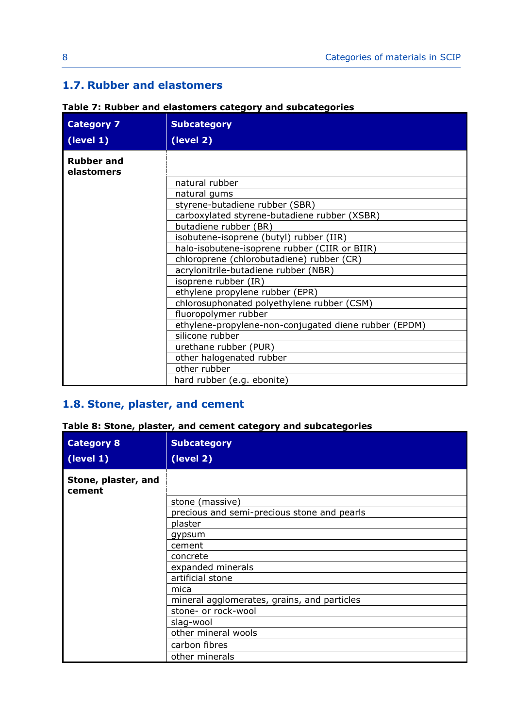## <span id="page-7-0"></span>**1.7. Rubber and elastomers**

<span id="page-7-2"></span>

|  |  |  | Table 7: Rubber and elastomers category and subcategories |  |
|--|--|--|-----------------------------------------------------------|--|
|  |  |  |                                                           |  |

| <b>Category 7</b>               | <b>Subcategory</b>                                    |
|---------------------------------|-------------------------------------------------------|
| (level 1)                       | (level 2)                                             |
| <b>Rubber and</b><br>elastomers |                                                       |
|                                 | natural rubber                                        |
|                                 | natural gums                                          |
|                                 | styrene-butadiene rubber (SBR)                        |
|                                 | carboxylated styrene-butadiene rubber (XSBR)          |
|                                 | butadiene rubber (BR)                                 |
|                                 | isobutene-isoprene (butyl) rubber (IIR)               |
|                                 | halo-isobutene-isoprene rubber (CIIR or BIIR)         |
|                                 | chloroprene (chlorobutadiene) rubber (CR)             |
|                                 | acrylonitrile-butadiene rubber (NBR)                  |
|                                 | isoprene rubber (IR)                                  |
|                                 | ethylene propylene rubber (EPR)                       |
|                                 | chlorosuphonated polyethylene rubber (CSM)            |
|                                 | fluoropolymer rubber                                  |
|                                 | ethylene-propylene-non-conjugated diene rubber (EPDM) |
|                                 | silicone rubber                                       |
|                                 | urethane rubber (PUR)                                 |
|                                 | other halogenated rubber                              |
|                                 | other rubber                                          |
|                                 | hard rubber (e.g. ebonite)                            |

## <span id="page-7-1"></span>**1.8. Stone, plaster, and cement**

## <span id="page-7-3"></span>**Table 8: Stone, plaster, and cement category and subcategories**

| <b>Category 8</b>             | <b>Subcategory</b>                          |
|-------------------------------|---------------------------------------------|
| $\vert$ (level 1)             | (level 2)                                   |
| Stone, plaster, and<br>cement |                                             |
|                               | stone (massive)                             |
|                               | precious and semi-precious stone and pearls |
|                               | plaster                                     |
|                               | gypsum                                      |
|                               | cement                                      |
|                               | concrete                                    |
|                               | expanded minerals                           |
|                               | artificial stone                            |
|                               | mica                                        |
|                               | mineral agglomerates, grains, and particles |
|                               | stone- or rock-wool                         |
|                               | slag-wool                                   |
|                               | other mineral wools                         |
|                               | carbon fibres                               |
|                               | other minerals                              |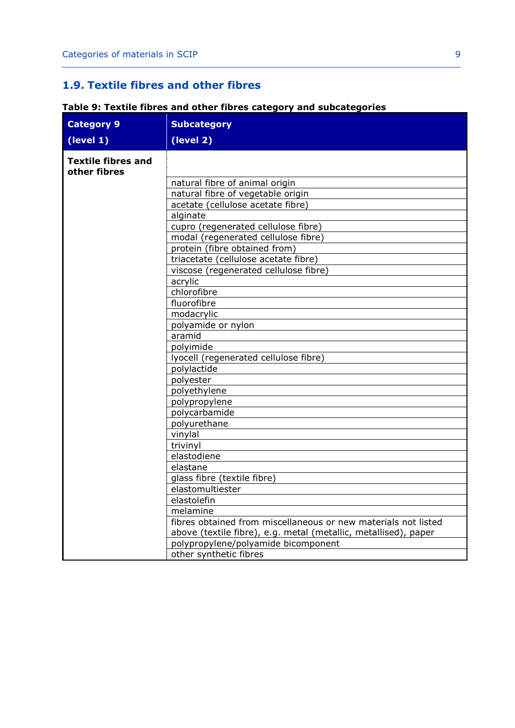## <span id="page-8-0"></span>**1.9. Textile fibres and other fibres**

## <span id="page-8-1"></span>**Table 9: Textile fibres and other fibres category and subcategories**

| <b>Category 9</b>                         | <b>Subcategory</b>                                              |
|-------------------------------------------|-----------------------------------------------------------------|
| (level 1)                                 | (level 2)                                                       |
|                                           |                                                                 |
| <b>Textile fibres and</b><br>other fibres |                                                                 |
|                                           | natural fibre of animal origin                                  |
|                                           | natural fibre of vegetable origin                               |
|                                           | acetate (cellulose acetate fibre)                               |
|                                           | alginate                                                        |
|                                           | cupro (regenerated cellulose fibre)                             |
|                                           | modal (regenerated cellulose fibre)                             |
|                                           | protein (fibre obtained from)                                   |
|                                           | triacetate (cellulose acetate fibre)                            |
|                                           | viscose (regenerated cellulose fibre)                           |
|                                           | acrylic                                                         |
|                                           | chlorofibre                                                     |
|                                           | fluorofibre                                                     |
|                                           | modacrylic                                                      |
|                                           | polyamide or nylon                                              |
|                                           | aramid                                                          |
|                                           | polyimide                                                       |
|                                           | lyocell (regenerated cellulose fibre)                           |
|                                           | polylactide                                                     |
|                                           | polyester                                                       |
|                                           | polyethylene                                                    |
|                                           | polypropylene                                                   |
|                                           | polycarbamide                                                   |
|                                           | polyurethane                                                    |
|                                           | vinylal                                                         |
|                                           | trivinyl                                                        |
|                                           | elastodiene                                                     |
|                                           | elastane                                                        |
|                                           | glass fibre (textile fibre)                                     |
|                                           | elastomultiester                                                |
|                                           | elastolefin                                                     |
|                                           | melamine                                                        |
|                                           | fibres obtained from miscellaneous or new materials not listed  |
|                                           | above (textile fibre), e.g. metal (metallic, metallised), paper |
|                                           | polypropylene/polyamide bicomponent                             |
|                                           | other synthetic fibres                                          |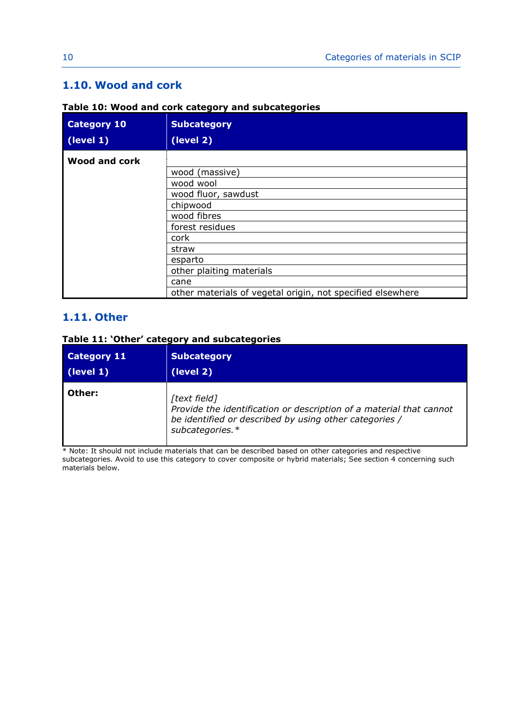## <span id="page-9-0"></span>**1.10. Wood and cork**

| <b>Category 10</b><br>(level 1) | <b>Subcategory</b><br>(level 2)                            |
|---------------------------------|------------------------------------------------------------|
|                                 |                                                            |
| Wood and cork                   |                                                            |
|                                 | wood (massive)                                             |
|                                 | wood wool                                                  |
|                                 | wood fluor, sawdust                                        |
|                                 | chipwood                                                   |
|                                 | wood fibres                                                |
|                                 | forest residues                                            |
|                                 | cork                                                       |
|                                 | straw                                                      |
|                                 | esparto                                                    |
|                                 | other plaiting materials                                   |
|                                 | cane                                                       |
|                                 | other materials of vegetal origin, not specified elsewhere |

#### <span id="page-9-2"></span>**Table 10: Wood and cork category and subcategories**

#### <span id="page-9-1"></span>**1.11. Other**

## <span id="page-9-3"></span>**Table 11: 'Other' category and subcategories**

| <b>Category 11</b> | <b>Subcategory</b>                                                                                                                                               |
|--------------------|------------------------------------------------------------------------------------------------------------------------------------------------------------------|
| $\vert$ (level 1)  | (level 2)                                                                                                                                                        |
| Other:             | [text field]<br>Provide the identification or description of a material that cannot<br>be identified or described by using other categories /<br>subcategories.* |

\* Note: It should not include materials that can be described based on other categories and respective subcategories. Avoid to use this category to cover composite or hybrid materials; See section 4 concerning such materials below.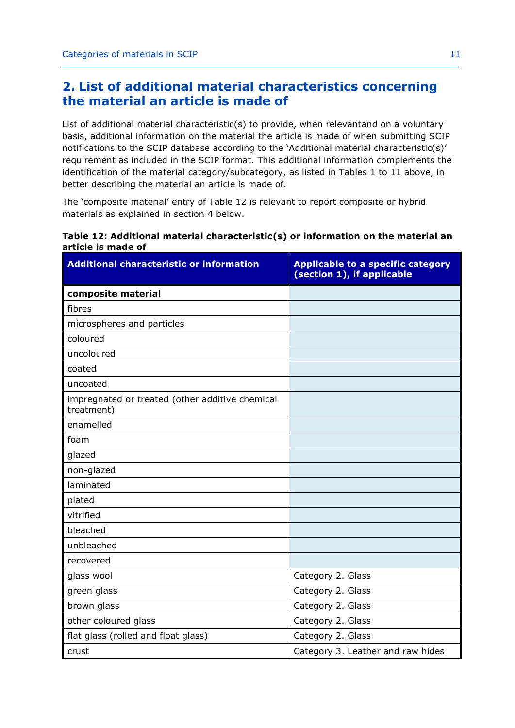## <span id="page-10-0"></span>**2. List of additional material characteristics concerning the material an article is made of**

List of additional material characteristic(s) to provide, when relevantand on a voluntary basis, additional information on the material the article is made of when submitting SCIP notifications to the SCIP database according to the 'Additional material characteristic(s)' requirement as included in the SCIP format. This additional information complements the identification of the material category/subcategory, as listed in Tables 1 to 11 above, in better describing the material an article is made of.

The 'composite material' entry of Table 12 is relevant to report composite or hybrid materials as explained in section 4 below.

#### <span id="page-10-1"></span>**Table 12: Additional material characteristic(s) or information on the material an article is made of**

| <b>Additional characteristic or information</b>               | Applicable to a specific category<br>(section 1), if applicable |
|---------------------------------------------------------------|-----------------------------------------------------------------|
| composite material                                            |                                                                 |
| fibres                                                        |                                                                 |
| microspheres and particles                                    |                                                                 |
| coloured                                                      |                                                                 |
| uncoloured                                                    |                                                                 |
| coated                                                        |                                                                 |
| uncoated                                                      |                                                                 |
| impregnated or treated (other additive chemical<br>treatment) |                                                                 |
| enamelled                                                     |                                                                 |
| foam                                                          |                                                                 |
| glazed                                                        |                                                                 |
| non-glazed                                                    |                                                                 |
| laminated                                                     |                                                                 |
| plated                                                        |                                                                 |
| vitrified                                                     |                                                                 |
| bleached                                                      |                                                                 |
| unbleached                                                    |                                                                 |
| recovered                                                     |                                                                 |
| glass wool                                                    | Category 2. Glass                                               |
| green glass                                                   | Category 2. Glass                                               |
| brown glass                                                   | Category 2. Glass                                               |
| other coloured glass                                          | Category 2. Glass                                               |
| flat glass (rolled and float glass)                           | Category 2. Glass                                               |
| crust                                                         | Category 3. Leather and raw hides                               |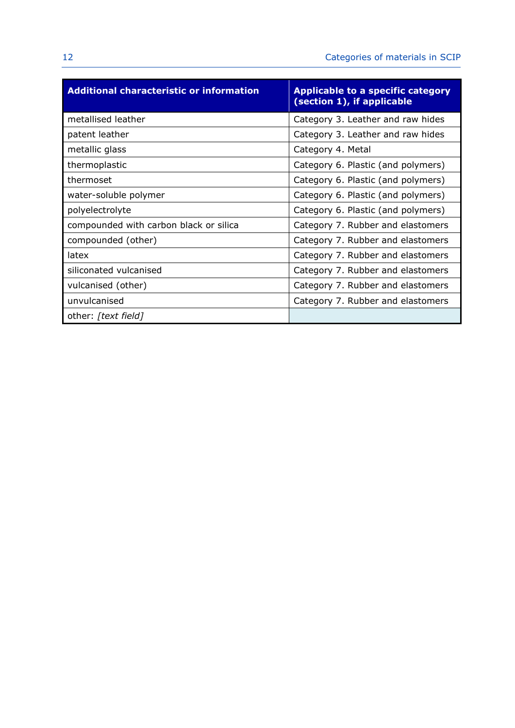| <b>Additional characteristic or information</b> | <b>Applicable to a specific category</b><br>(section 1), if applicable |
|-------------------------------------------------|------------------------------------------------------------------------|
| metallised leather                              | Category 3. Leather and raw hides                                      |
| patent leather                                  | Category 3. Leather and raw hides                                      |
| metallic glass                                  | Category 4. Metal                                                      |
| thermoplastic                                   | Category 6. Plastic (and polymers)                                     |
| thermoset                                       | Category 6. Plastic (and polymers)                                     |
| water-soluble polymer                           | Category 6. Plastic (and polymers)                                     |
| polyelectrolyte                                 | Category 6. Plastic (and polymers)                                     |
| compounded with carbon black or silica          | Category 7. Rubber and elastomers                                      |
| compounded (other)                              | Category 7. Rubber and elastomers                                      |
| latex                                           | Category 7. Rubber and elastomers                                      |
| siliconated vulcanised                          | Category 7. Rubber and elastomers                                      |
| vulcanised (other)                              | Category 7. Rubber and elastomers                                      |
| unvulcanised                                    | Category 7. Rubber and elastomers                                      |
| other: [text field]                             |                                                                        |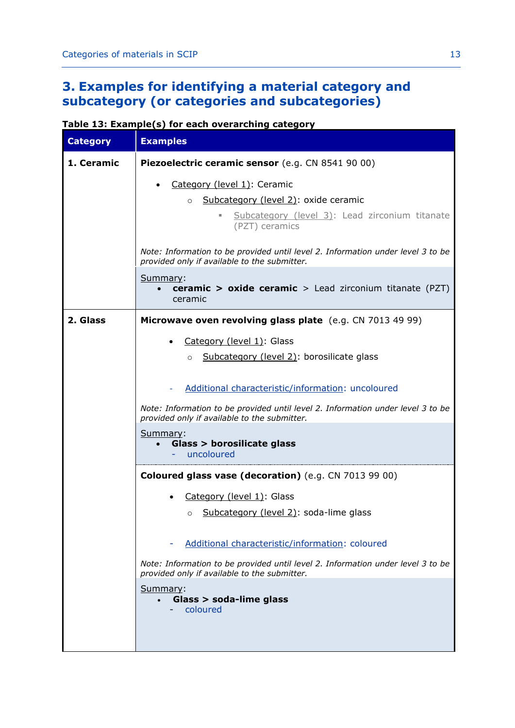# <span id="page-12-0"></span>**3. Examples for identifying a material category and subcategory (or categories and subcategories)**

<span id="page-12-1"></span>**Table 13: Example(s) for each overarching category** 

| <b>Category</b> | <b>Examples</b>                                                                                                                 |
|-----------------|---------------------------------------------------------------------------------------------------------------------------------|
| 1. Ceramic      | Piezoelectric ceramic sensor (e.g. CN 8541 90 00)                                                                               |
|                 | Category (level 1): Ceramic<br>$\bullet$                                                                                        |
|                 | Subcategory (level 2): oxide ceramic<br>$\circ$                                                                                 |
|                 | Subcategory (level 3): Lead zirconium titanate<br>(PZT) ceramics                                                                |
|                 | Note: Information to be provided until level 2. Information under level 3 to be<br>provided only if available to the submitter. |
|                 | Summary:<br><b>ceramic &gt; oxide ceramic</b> > Lead zirconium titanate (PZT)<br>ceramic                                        |
| 2. Glass        | Microwave oven revolving glass plate (e.g. CN 7013 49 99)                                                                       |
|                 | Category (level 1): Glass                                                                                                       |
|                 | Subcategory (level 2): borosilicate glass<br>$\circ$                                                                            |
|                 | Additional characteristic/information: uncoloured                                                                               |
|                 | Note: Information to be provided until level 2. Information under level 3 to be<br>provided only if available to the submitter. |
|                 | Summary:<br>Glass > borosilicate glass<br>uncoloured                                                                            |
|                 | Coloured glass vase (decoration) (e.g. CN 7013 99 00)                                                                           |
|                 | Category (level 1): Glass                                                                                                       |
|                 | Subcategory (level 2): soda-lime glass<br>$\circ$                                                                               |
|                 | Additional characteristic/information: coloured                                                                                 |
|                 | Note: Information to be provided until level 2. Information under level 3 to be<br>provided only if available to the submitter. |
|                 | Summary:<br>$\cdot$ Glass $>$ soda-lime glass<br>coloured                                                                       |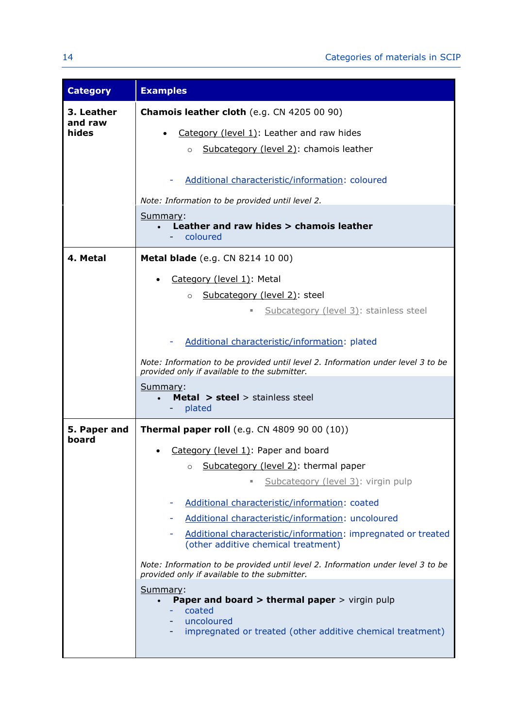| <b>Category</b>       | <b>Examples</b>                                                                                                                 |
|-----------------------|---------------------------------------------------------------------------------------------------------------------------------|
| 3. Leather            | <b>Chamois leather cloth</b> (e.g. CN 4205 00 90)                                                                               |
| and raw<br>hides      | Category (level 1): Leather and raw hides<br>$\bullet$                                                                          |
|                       | Subcategory (level 2): chamois leather<br>$\circ$                                                                               |
|                       |                                                                                                                                 |
|                       | Additional characteristic/information: coloured                                                                                 |
|                       | Note: Information to be provided until level 2.                                                                                 |
|                       | Summary:<br>Leather and raw hides > chamois leather<br>coloured                                                                 |
| 4. Metal              | Metal blade (e.g. CN 8214 10 00)                                                                                                |
|                       | Category (level 1): Metal                                                                                                       |
|                       | Subcategory (level 2): steel<br>$\circ$                                                                                         |
|                       | Subcategory (level 3): stainless steel                                                                                          |
|                       |                                                                                                                                 |
|                       | Additional characteristic/information: plated                                                                                   |
|                       | Note: Information to be provided until level 2. Information under level 3 to be<br>provided only if available to the submitter. |
|                       | Summary:                                                                                                                        |
|                       | <b>Metal</b> $>$ steel $>$ stainless steel<br>$\bullet$<br>plated                                                               |
| 5. Paper and<br>board | <b>Thermal paper roll</b> (e.g. CN 4809 90 00 $(10)$ )                                                                          |
|                       | Category (level 1): Paper and board                                                                                             |
|                       | Subcategory (level 2): thermal paper<br>$\circ$                                                                                 |
|                       | Subcategory (level 3): virgin pulp<br>٠                                                                                         |
|                       | Additional characteristic/information: coated                                                                                   |
|                       | Additional characteristic/information: uncoloured                                                                               |
|                       | Additional characteristic/information: impregnated or treated<br>(other additive chemical treatment)                            |
|                       | Note: Information to be provided until level 2. Information under level 3 to be<br>provided only if available to the submitter. |
|                       | Summary:                                                                                                                        |
|                       | <b>Paper and board &gt; thermal paper &gt; virgin pulp</b><br>$\bullet$<br>coated                                               |
|                       | uncoloured<br>impregnated or treated (other additive chemical treatment)                                                        |
|                       |                                                                                                                                 |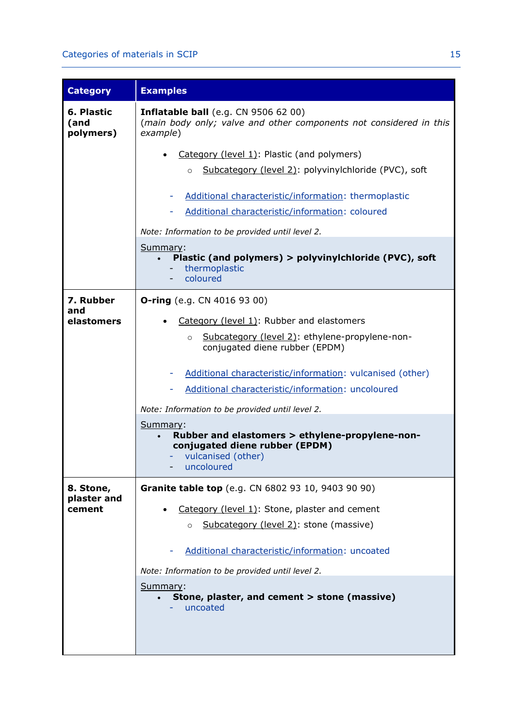#### Categories of materials in SCIP 15

| <b>Category</b>                 | <b>Examples</b>                                                                                                                   |
|---------------------------------|-----------------------------------------------------------------------------------------------------------------------------------|
| 6. Plastic<br>(and<br>polymers) | Inflatable ball (e.g. CN 9506 62 00)<br>(main body only; valve and other components not considered in this<br>example)            |
|                                 | Category (level 1): Plastic (and polymers)                                                                                        |
|                                 | Subcategory (level 2): polyvinylchloride (PVC), soft<br>$\circ$                                                                   |
|                                 | Additional characteristic/information: thermoplastic                                                                              |
|                                 | Additional characteristic/information: coloured                                                                                   |
|                                 | Note: Information to be provided until level 2.                                                                                   |
|                                 | Summary:<br>Plastic (and polymers) > polyvinylchloride (PVC), soft<br>thermoplastic<br>coloured                                   |
| 7. Rubber                       | <b>O-ring</b> (e.g. CN 4016 93 00)                                                                                                |
| and<br>elastomers               | Category (level 1): Rubber and elastomers                                                                                         |
|                                 | Subcategory (level 2): ethylene-propylene-non-<br>$\circ$<br>conjugated diene rubber (EPDM)                                       |
|                                 | Additional characteristic/information: vulcanised (other)                                                                         |
|                                 | Additional characteristic/information: uncoloured                                                                                 |
|                                 | Note: Information to be provided until level 2.                                                                                   |
|                                 | Summary:<br>Rubber and elastomers > ethylene-propylene-non-<br>conjugated diene rubber (EPDM)<br>vulcanised (other)<br>uncoloured |
| 8. Stone,                       | Granite table top (e.g. CN 6802 93 10, 9403 90 90)                                                                                |
| plaster and<br>cement           | Category (level 1): Stone, plaster and cement                                                                                     |
|                                 | Subcategory (level 2): stone (massive)<br>$\circ$                                                                                 |
|                                 | Additional characteristic/information: uncoated                                                                                   |
|                                 | Note: Information to be provided until level 2.                                                                                   |
|                                 | Summary:<br>Stone, plaster, and cement > stone (massive)<br>uncoated                                                              |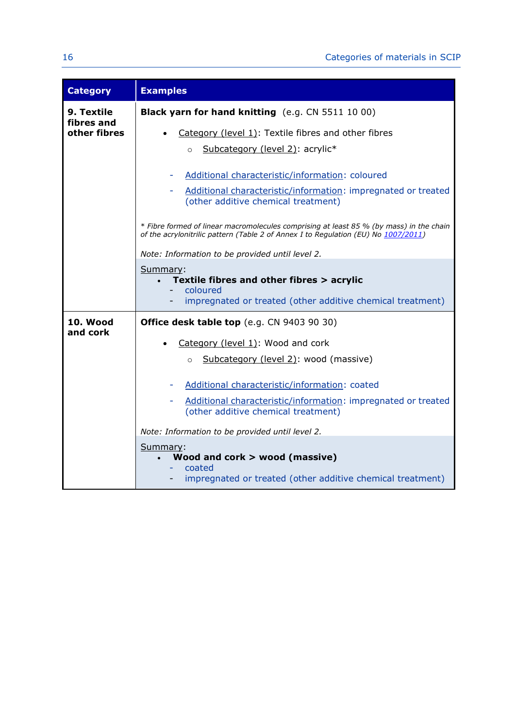| <b>Category</b>                          | <b>Examples</b>                                                                                                                                                               |
|------------------------------------------|-------------------------------------------------------------------------------------------------------------------------------------------------------------------------------|
| 9. Textile<br>fibres and<br>other fibres | Black yarn for hand knitting (e.g. CN 5511 10 00)                                                                                                                             |
|                                          | Category (level 1): Textile fibres and other fibres<br>Subcategory (level 2): acrylic*<br>$\circ$                                                                             |
|                                          | Additional characteristic/information: coloured<br>Additional characteristic/information: impregnated or treated<br>(other additive chemical treatment)                       |
|                                          | * Fibre formed of linear macromolecules comprising at least 85 % (by mass) in the chain<br>of the acrylonitrilic pattern (Table 2 of Annex I to Regulation (EU) No 1007/2011) |
|                                          | Note: Information to be provided until level 2.                                                                                                                               |
|                                          | Summary:<br>Textile fibres and other fibres > acrylic<br>coloured<br>impregnated or treated (other additive chemical treatment)                                               |
|                                          |                                                                                                                                                                               |
| 10. Wood<br>and cork                     | <b>Office desk table top</b> (e.g. CN 9403 90 30)                                                                                                                             |
|                                          | Category (level 1): Wood and cork                                                                                                                                             |
|                                          | Subcategory (level 2): wood (massive)<br>$\circ$                                                                                                                              |
|                                          | Additional characteristic/information: coated<br>Additional characteristic/information: impregnated or treated<br>(other additive chemical treatment)                         |
|                                          | Note: Information to be provided until level 2.                                                                                                                               |
|                                          | Summary:<br>Wood and cork > wood (massive)<br>coated<br>impregnated or treated (other additive chemical treatment)                                                            |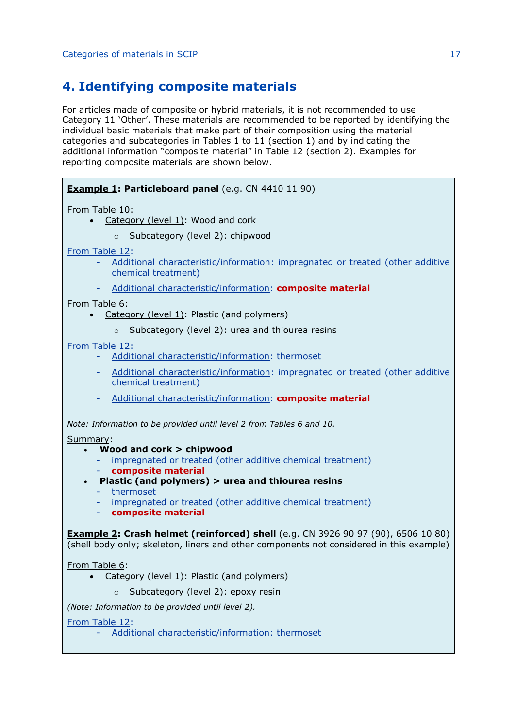# <span id="page-16-0"></span>**4. Identifying composite materials**

For articles made of composite or hybrid materials, it is not recommended to use Category 11 'Other'. These materials are recommended to be reported by identifying the individual basic materials that make part of their composition using the material categories and subcategories in Tables 1 to 11 (section 1) and by indicating the additional information "composite material" in Table 12 (section 2). Examples for reporting composite materials are shown below.

| <b>Example 1: Particleboard panel</b> (e.g. CN 4410 11 90)                                                                                                                         |  |  |
|------------------------------------------------------------------------------------------------------------------------------------------------------------------------------------|--|--|
| From Table 10:                                                                                                                                                                     |  |  |
| Category (level 1): Wood and cork<br>$\bullet$                                                                                                                                     |  |  |
| Subcategory (level 2): chipwood<br>$\circ$                                                                                                                                         |  |  |
| From Table 12:                                                                                                                                                                     |  |  |
| Additional characteristic/information: impregnated or treated (other additive<br>chemical treatment)                                                                               |  |  |
| Additional characteristic/information: composite material                                                                                                                          |  |  |
| From Table 6:<br>Category (level 1): Plastic (and polymers)                                                                                                                        |  |  |
| Subcategory (level 2): urea and thiourea resins<br>$\circ$                                                                                                                         |  |  |
| From Table 12:                                                                                                                                                                     |  |  |
| Additional characteristic/information: thermoset                                                                                                                                   |  |  |
| Additional characteristic/information: impregnated or treated (other additive<br>chemical treatment)                                                                               |  |  |
| Additional characteristic/information: composite material<br>۰                                                                                                                     |  |  |
| Note: Information to be provided until level 2 from Tables 6 and 10.                                                                                                               |  |  |
| Summary:                                                                                                                                                                           |  |  |
| • Wood and cork $>$ chipwood<br>impregnated or treated (other additive chemical treatment)                                                                                         |  |  |
| composite material                                                                                                                                                                 |  |  |
| Plastic (and polymers) > urea and thiourea resins<br>thermoset<br>$\sim$ 10 $\pm$                                                                                                  |  |  |
| impregnated or treated (other additive chemical treatment)                                                                                                                         |  |  |
| composite material<br>$\sim 100$                                                                                                                                                   |  |  |
| <b>Example 2: Crash helmet (reinforced) shell</b> (e.g. CN 3926 90 97 (90), 6506 10 80)<br>(shell body only; skeleton, liners and other components not considered in this example) |  |  |
| From Table 6:                                                                                                                                                                      |  |  |
| Category (level 1): Plastic (and polymers)                                                                                                                                         |  |  |
| Subcategory (level 2): epoxy resin<br>$\Omega$                                                                                                                                     |  |  |
| (Note: Information to be provided until level 2).                                                                                                                                  |  |  |

From Table 12:

Additional characteristic/information: thermoset